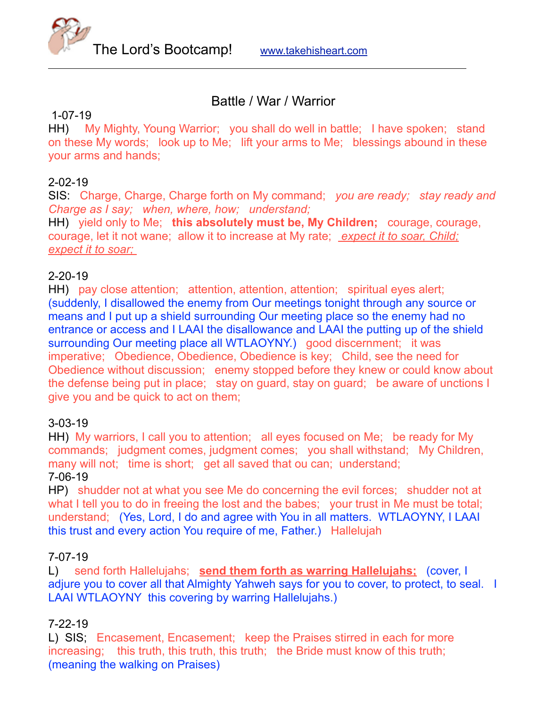

# Battle / War / Warrior

## 1-07-19

HH) My Mighty, Young Warrior; you shall do well in battle; I have spoken; stand on these My words; look up to Me; lift your arms to Me; blessings abound in these your arms and hands;

## 2-02-19

SIS: Charge, Charge, Charge forth on My command; *you are ready; stay ready and Charge as I say; when, where, how; understand;* 

HH) yield only to Me; **this absolutely must be, My Children;** courage, courage, courage, let it not wane; allow it to increase at My rate; *expect it to soar, Child; expect it to soar;* 

## 2-20-19

HH) pay close attention; attention, attention, attention; spiritual eyes alert; (suddenly, I disallowed the enemy from Our meetings tonight through any source or means and I put up a shield surrounding Our meeting place so the enemy had no entrance or access and I LAAI the disallowance and LAAI the putting up of the shield surrounding Our meeting place all WTLAOYNY.) good discernment; it was imperative; Obedience, Obedience, Obedience is key; Child, see the need for Obedience without discussion; enemy stopped before they knew or could know about the defense being put in place; stay on guard, stay on guard; be aware of unctions I give you and be quick to act on them;

# 3-03-19

HH) My warriors, I call you to attention; all eyes focused on Me; be ready for My commands; judgment comes, judgment comes; you shall withstand; My Children, many will not; time is short; get all saved that ou can; understand;

#### 7-06-19

HP) shudder not at what you see Me do concerning the evil forces; shudder not at what I tell you to do in freeing the lost and the babes; your trust in Me must be total; understand; (Yes, Lord, I do and agree with You in all matters. WTLAOYNY, I LAAI this trust and every action You require of me, Father.) Hallelujah

#### 7-07-19

L) send forth Hallelujahs; **send them forth as warring Hallelujahs;** (cover, I adjure you to cover all that Almighty Yahweh says for you to cover, to protect, to seal. I LAAI WTLAOYNY this covering by warring Hallelujahs.)

# 7-22-19

L) SIS; Encasement, Encasement; keep the Praises stirred in each for more increasing; this truth, this truth, this truth; the Bride must know of this truth; (meaning the walking on Praises)